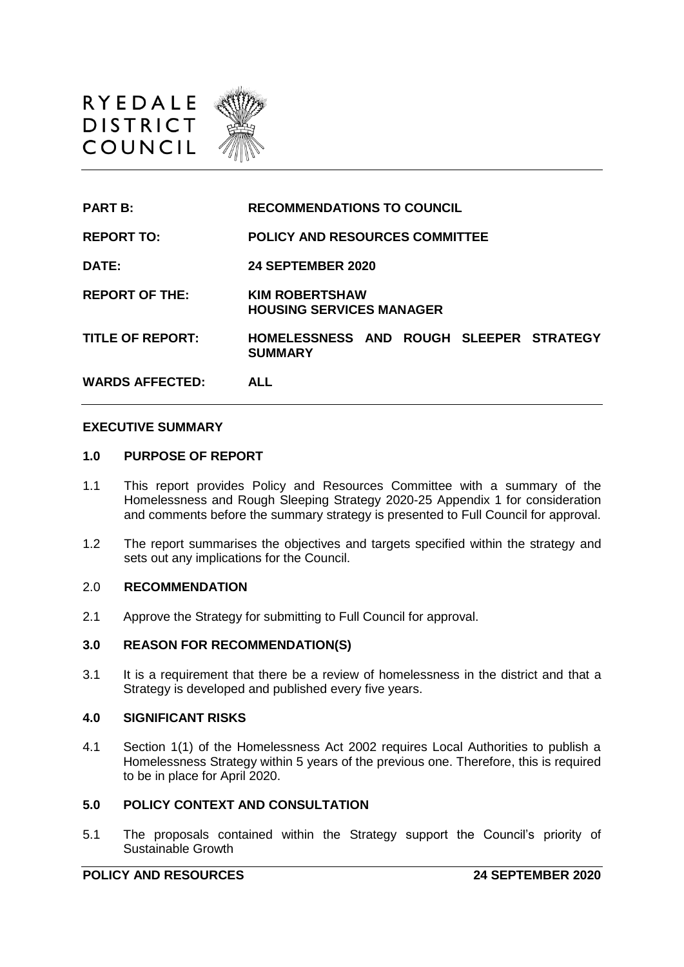

| <b>PART B:</b>          | <b>RECOMMENDATIONS TO COUNCIL</b>                         |
|-------------------------|-----------------------------------------------------------|
| <b>REPORT TO:</b>       | <b>POLICY AND RESOURCES COMMITTEE</b>                     |
| DATE:                   | <b>24 SEPTEMBER 2020</b>                                  |
| <b>REPORT OF THE:</b>   | <b>KIM ROBERTSHAW</b><br><b>HOUSING SERVICES MANAGER</b>  |
| <b>TITLE OF REPORT:</b> | HOMELESSNESS AND ROUGH SLEEPER STRATEGY<br><b>SUMMARY</b> |
| <b>WARDS AFFECTED:</b>  | <b>ALL</b>                                                |

#### **EXECUTIVE SUMMARY**

### **1.0 PURPOSE OF REPORT**

- 1.1 This report provides Policy and Resources Committee with a summary of the Homelessness and Rough Sleeping Strategy 2020-25 Appendix 1 for consideration and comments before the summary strategy is presented to Full Council for approval.
- 1.2 The report summarises the objectives and targets specified within the strategy and sets out any implications for the Council.

### 2.0 **RECOMMENDATION**

2.1 Approve the Strategy for submitting to Full Council for approval.

#### **3.0 REASON FOR RECOMMENDATION(S)**

3.1 It is a requirement that there be a review of homelessness in the district and that a Strategy is developed and published every five years.

## **4.0 SIGNIFICANT RISKS**

4.1 Section 1(1) of the Homelessness Act 2002 requires Local Authorities to publish a Homelessness Strategy within 5 years of the previous one. Therefore, this is required to be in place for April 2020.

## **5.0 POLICY CONTEXT AND CONSULTATION**

5.1 The proposals contained within the Strategy support the Council's priority of Sustainable Growth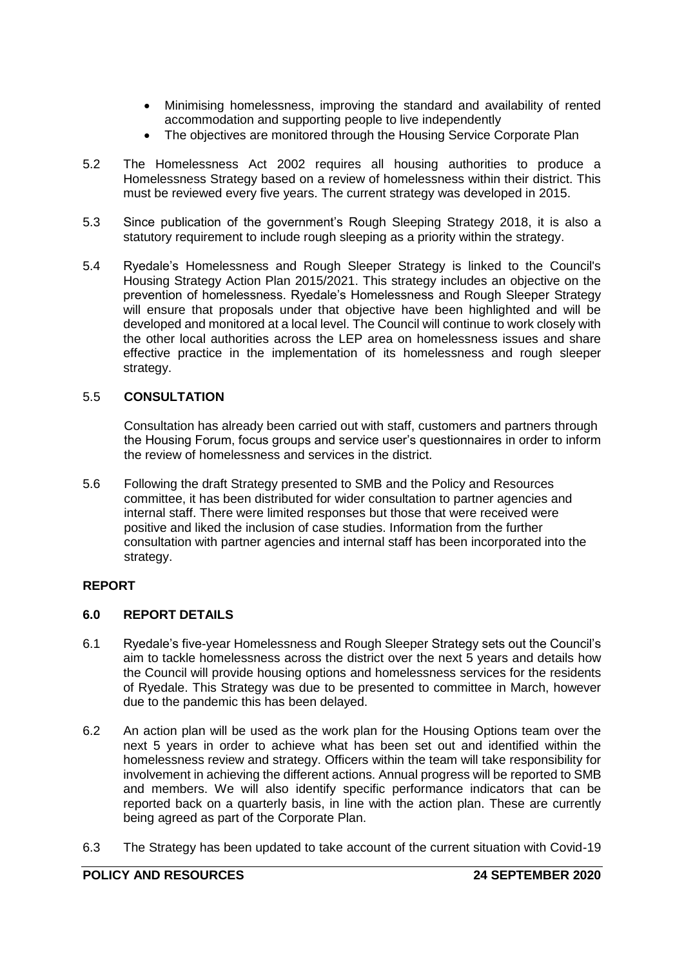- Minimising homelessness, improving the standard and availability of rented accommodation and supporting people to live independently
- The objectives are monitored through the Housing Service Corporate Plan
- 5.2 The Homelessness Act 2002 requires all housing authorities to produce a Homelessness Strategy based on a review of homelessness within their district. This must be reviewed every five years. The current strategy was developed in 2015.
- 5.3 Since publication of the government's Rough Sleeping Strategy 2018, it is also a statutory requirement to include rough sleeping as a priority within the strategy.
- 5.4 Ryedale's Homelessness and Rough Sleeper Strategy is linked to the Council's Housing Strategy Action Plan 2015/2021. This strategy includes an objective on the prevention of homelessness. Ryedale's Homelessness and Rough Sleeper Strategy will ensure that proposals under that objective have been highlighted and will be developed and monitored at a local level. The Council will continue to work closely with the other local authorities across the LEP area on homelessness issues and share effective practice in the implementation of its homelessness and rough sleeper strategy.

# 5.5 **CONSULTATION**

Consultation has already been carried out with staff, customers and partners through the Housing Forum, focus groups and service user's questionnaires in order to inform the review of homelessness and services in the district.

5.6 Following the draft Strategy presented to SMB and the Policy and Resources committee, it has been distributed for wider consultation to partner agencies and internal staff. There were limited responses but those that were received were positive and liked the inclusion of case studies. Information from the further consultation with partner agencies and internal staff has been incorporated into the strategy.

# **REPORT**

## **6.0 REPORT DETAILS**

- 6.1 Ryedale's five-year Homelessness and Rough Sleeper Strategy sets out the Council's aim to tackle homelessness across the district over the next 5 years and details how the Council will provide housing options and homelessness services for the residents of Ryedale. This Strategy was due to be presented to committee in March, however due to the pandemic this has been delayed.
- 6.2 An action plan will be used as the work plan for the Housing Options team over the next 5 years in order to achieve what has been set out and identified within the homelessness review and strategy. Officers within the team will take responsibility for involvement in achieving the different actions. Annual progress will be reported to SMB and members. We will also identify specific performance indicators that can be reported back on a quarterly basis, in line with the action plan. These are currently being agreed as part of the Corporate Plan.
- 6.3 The Strategy has been updated to take account of the current situation with Covid-19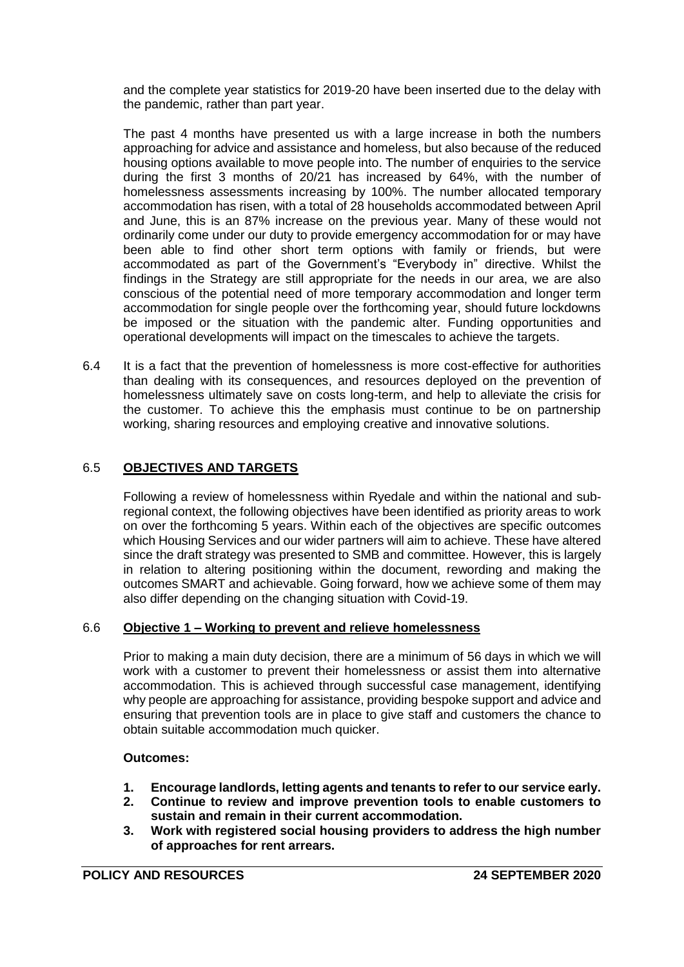and the complete year statistics for 2019-20 have been inserted due to the delay with the pandemic, rather than part year.

The past 4 months have presented us with a large increase in both the numbers approaching for advice and assistance and homeless, but also because of the reduced housing options available to move people into. The number of enquiries to the service during the first 3 months of 20/21 has increased by 64%, with the number of homelessness assessments increasing by 100%. The number allocated temporary accommodation has risen, with a total of 28 households accommodated between April and June, this is an 87% increase on the previous year. Many of these would not ordinarily come under our duty to provide emergency accommodation for or may have been able to find other short term options with family or friends, but were accommodated as part of the Government's "Everybody in" directive. Whilst the findings in the Strategy are still appropriate for the needs in our area, we are also conscious of the potential need of more temporary accommodation and longer term accommodation for single people over the forthcoming year, should future lockdowns be imposed or the situation with the pandemic alter. Funding opportunities and operational developments will impact on the timescales to achieve the targets.

6.4 It is a fact that the prevention of homelessness is more cost-effective for authorities than dealing with its consequences, and resources deployed on the prevention of homelessness ultimately save on costs long-term, and help to alleviate the crisis for the customer. To achieve this the emphasis must continue to be on partnership working, sharing resources and employing creative and innovative solutions.

# 6.5 **OBJECTIVES AND TARGETS**

Following a review of homelessness within Ryedale and within the national and subregional context, the following objectives have been identified as priority areas to work on over the forthcoming 5 years. Within each of the objectives are specific outcomes which Housing Services and our wider partners will aim to achieve. These have altered since the draft strategy was presented to SMB and committee. However, this is largely in relation to altering positioning within the document, rewording and making the outcomes SMART and achievable. Going forward, how we achieve some of them may also differ depending on the changing situation with Covid-19.

# 6.6 **Objective 1 – Working to prevent and relieve homelessness**

Prior to making a main duty decision, there are a minimum of 56 days in which we will work with a customer to prevent their homelessness or assist them into alternative accommodation. This is achieved through successful case management, identifying why people are approaching for assistance, providing bespoke support and advice and ensuring that prevention tools are in place to give staff and customers the chance to obtain suitable accommodation much quicker.

## **Outcomes:**

- **1. Encourage landlords, letting agents and tenants to refer to our service early.**
- **2. Continue to review and improve prevention tools to enable customers to sustain and remain in their current accommodation.**
- **3. Work with registered social housing providers to address the high number of approaches for rent arrears.**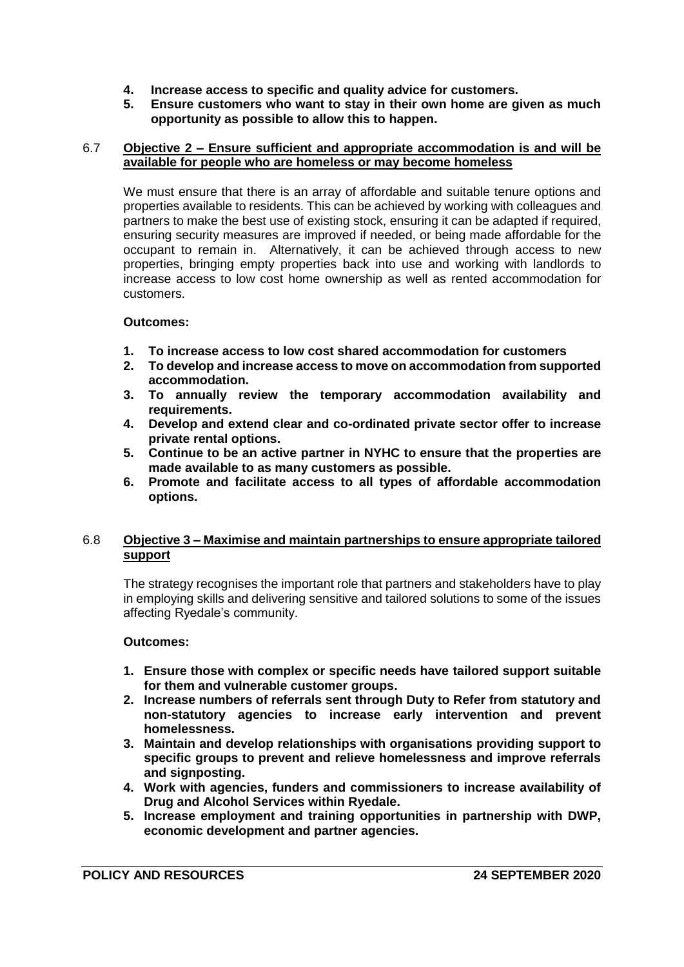- **4. Increase access to specific and quality advice for customers.**
- **5. Ensure customers who want to stay in their own home are given as much opportunity as possible to allow this to happen.**

### 6.7 **Objective 2 – Ensure sufficient and appropriate accommodation is and will be available for people who are homeless or may become homeless**

We must ensure that there is an array of affordable and suitable tenure options and properties available to residents. This can be achieved by working with colleagues and partners to make the best use of existing stock, ensuring it can be adapted if required, ensuring security measures are improved if needed, or being made affordable for the occupant to remain in. Alternatively, it can be achieved through access to new properties, bringing empty properties back into use and working with landlords to increase access to low cost home ownership as well as rented accommodation for customers.

## **Outcomes:**

- **1. To increase access to low cost shared accommodation for customers**
- **2. To develop and increase access to move on accommodation from supported accommodation.**
- **3. To annually review the temporary accommodation availability and requirements.**
- **4. Develop and extend clear and co-ordinated private sector offer to increase private rental options.**
- **5. Continue to be an active partner in NYHC to ensure that the properties are made available to as many customers as possible.**
- **6. Promote and facilitate access to all types of affordable accommodation options.**

## 6.8 **Objective 3 – Maximise and maintain partnerships to ensure appropriate tailored support**

The strategy recognises the important role that partners and stakeholders have to play in employing skills and delivering sensitive and tailored solutions to some of the issues affecting Ryedale's community.

## **Outcomes:**

- **1. Ensure those with complex or specific needs have tailored support suitable for them and vulnerable customer groups.**
- **2. Increase numbers of referrals sent through Duty to Refer from statutory and non-statutory agencies to increase early intervention and prevent homelessness.**
- **3. Maintain and develop relationships with organisations providing support to specific groups to prevent and relieve homelessness and improve referrals and signposting.**
- **4. Work with agencies, funders and commissioners to increase availability of Drug and Alcohol Services within Ryedale.**
- **5. Increase employment and training opportunities in partnership with DWP, economic development and partner agencies.**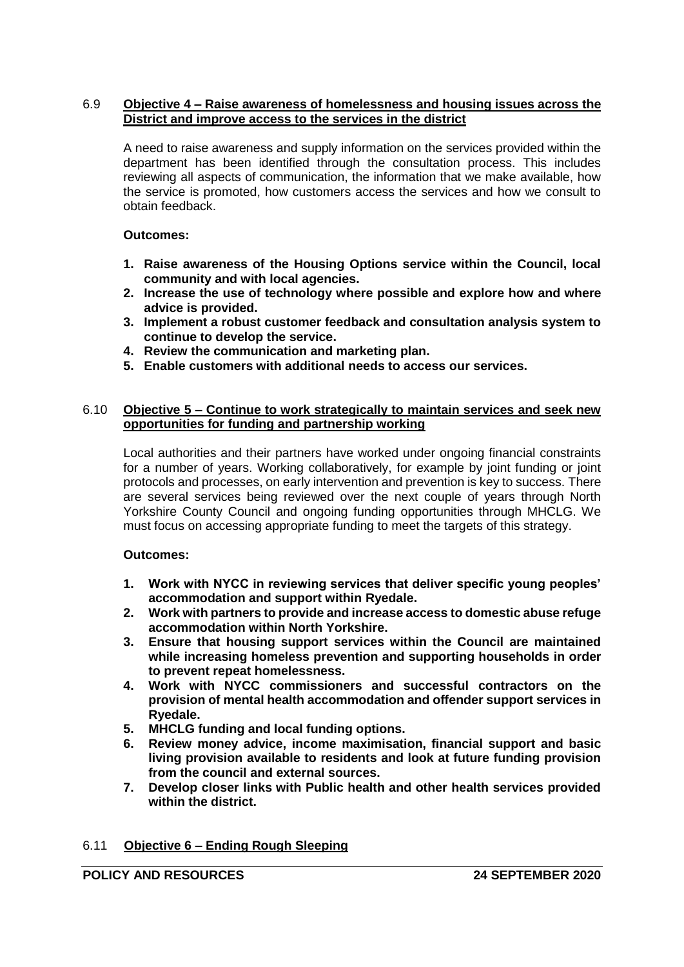## 6.9 **Objective 4 – Raise awareness of homelessness and housing issues across the District and improve access to the services in the district**

A need to raise awareness and supply information on the services provided within the department has been identified through the consultation process. This includes reviewing all aspects of communication, the information that we make available, how the service is promoted, how customers access the services and how we consult to obtain feedback.

## **Outcomes:**

- **1. Raise awareness of the Housing Options service within the Council, local community and with local agencies.**
- **2. Increase the use of technology where possible and explore how and where advice is provided.**
- **3. Implement a robust customer feedback and consultation analysis system to continue to develop the service.**
- **4. Review the communication and marketing plan.**
- **5. Enable customers with additional needs to access our services.**

### 6.10 **Objective 5 – Continue to work strategically to maintain services and seek new opportunities for funding and partnership working**

Local authorities and their partners have worked under ongoing financial constraints for a number of years. Working collaboratively, for example by joint funding or joint protocols and processes, on early intervention and prevention is key to success. There are several services being reviewed over the next couple of years through North Yorkshire County Council and ongoing funding opportunities through MHCLG. We must focus on accessing appropriate funding to meet the targets of this strategy.

## **Outcomes:**

- **1. Work with NYCC in reviewing services that deliver specific young peoples' accommodation and support within Ryedale.**
- **2. Work with partners to provide and increase access to domestic abuse refuge accommodation within North Yorkshire.**
- **3. Ensure that housing support services within the Council are maintained while increasing homeless prevention and supporting households in order to prevent repeat homelessness.**
- **4. Work with NYCC commissioners and successful contractors on the provision of mental health accommodation and offender support services in Ryedale.**
- **5. MHCLG funding and local funding options.**
- **6. Review money advice, income maximisation, financial support and basic living provision available to residents and look at future funding provision from the council and external sources.**
- **7. Develop closer links with Public health and other health services provided within the district.**

## 6.11 **Objective 6 – Ending Rough Sleeping**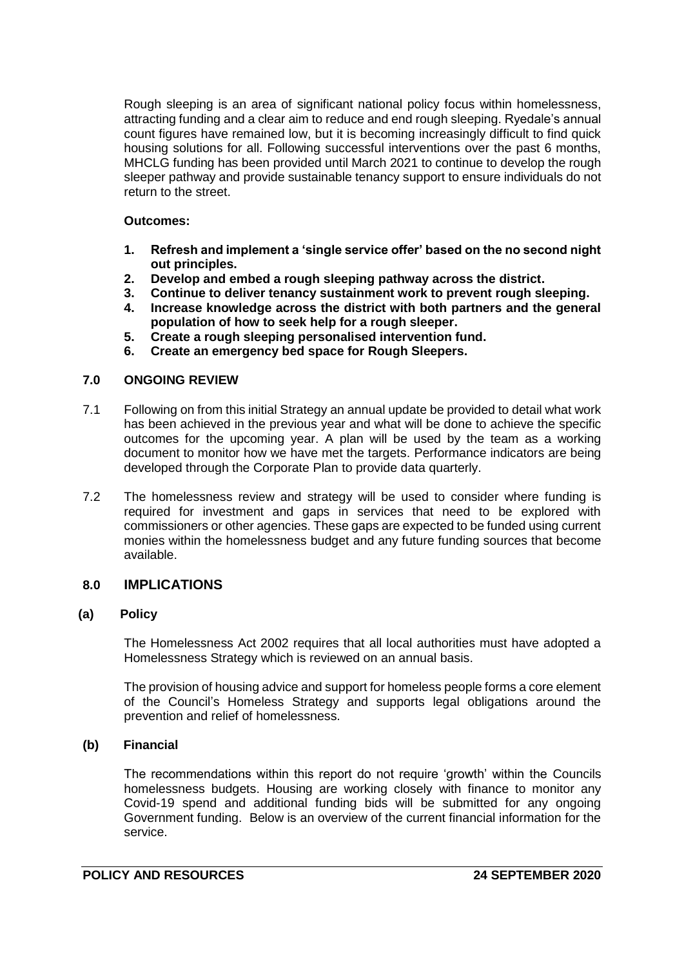Rough sleeping is an area of significant national policy focus within homelessness, attracting funding and a clear aim to reduce and end rough sleeping. Ryedale's annual count figures have remained low, but it is becoming increasingly difficult to find quick housing solutions for all. Following successful interventions over the past 6 months, MHCLG funding has been provided until March 2021 to continue to develop the rough sleeper pathway and provide sustainable tenancy support to ensure individuals do not return to the street.

## **Outcomes:**

- **1. Refresh and implement a 'single service offer' based on the no second night out principles.**
- **2. Develop and embed a rough sleeping pathway across the district.**
- **3. Continue to deliver tenancy sustainment work to prevent rough sleeping.**
- **4. Increase knowledge across the district with both partners and the general population of how to seek help for a rough sleeper.**
- **5. Create a rough sleeping personalised intervention fund.**
- **6. Create an emergency bed space for Rough Sleepers.**

# **7.0 ONGOING REVIEW**

- 7.1 Following on from this initial Strategy an annual update be provided to detail what work has been achieved in the previous year and what will be done to achieve the specific outcomes for the upcoming year. A plan will be used by the team as a working document to monitor how we have met the targets. Performance indicators are being developed through the Corporate Plan to provide data quarterly.
- 7.2 The homelessness review and strategy will be used to consider where funding is required for investment and gaps in services that need to be explored with commissioners or other agencies. These gaps are expected to be funded using current monies within the homelessness budget and any future funding sources that become available.

# **8.0 IMPLICATIONS**

# **(a) Policy**

The Homelessness Act 2002 requires that all local authorities must have adopted a Homelessness Strategy which is reviewed on an annual basis.

The provision of housing advice and support for homeless people forms a core element of the Council's Homeless Strategy and supports legal obligations around the prevention and relief of homelessness.

## **(b) Financial**

The recommendations within this report do not require 'growth' within the Councils homelessness budgets. Housing are working closely with finance to monitor any Covid-19 spend and additional funding bids will be submitted for any ongoing Government funding. Below is an overview of the current financial information for the service.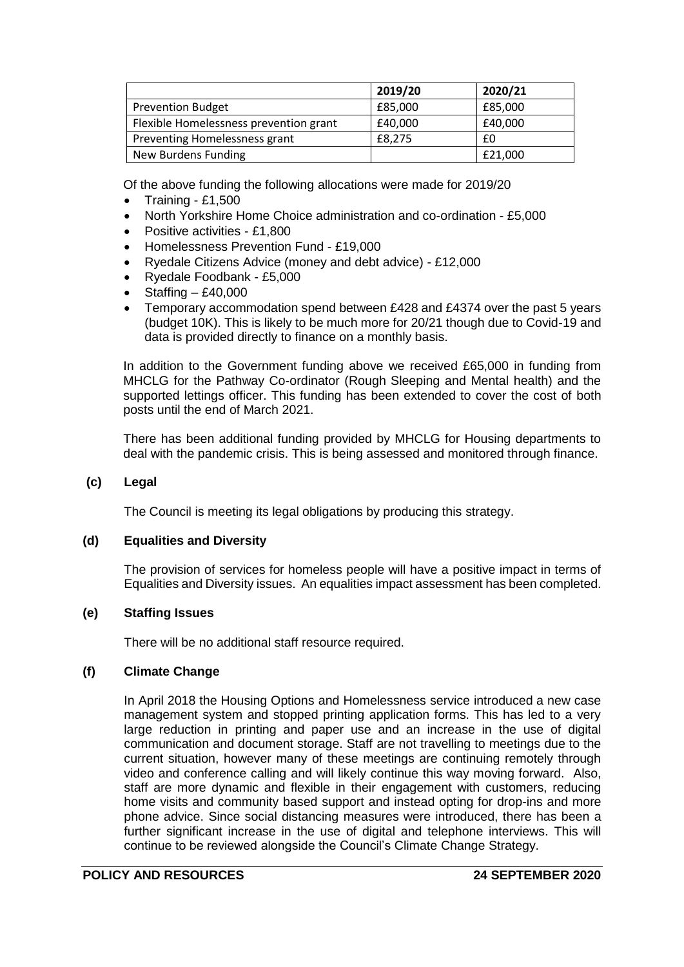|                                        | 2019/20 | 2020/21 |
|----------------------------------------|---------|---------|
| <b>Prevention Budget</b>               | £85,000 | £85,000 |
| Flexible Homelessness prevention grant | £40,000 | £40,000 |
| Preventing Homelessness grant          | £8.275  | £0      |
| New Burdens Funding                    |         | £21,000 |

Of the above funding the following allocations were made for 2019/20

- $\bullet$  Training £1,500
- North Yorkshire Home Choice administration and co-ordination £5,000
- Positive activities £1,800
- Homelessness Prevention Fund £19,000
- Ryedale Citizens Advice (money and debt advice) £12,000
- Ryedale Foodbank £5,000
- Staffing £40,000
- Temporary accommodation spend between £428 and £4374 over the past 5 years (budget 10K). This is likely to be much more for 20/21 though due to Covid-19 and data is provided directly to finance on a monthly basis.

In addition to the Government funding above we received £65,000 in funding from MHCLG for the Pathway Co-ordinator (Rough Sleeping and Mental health) and the supported lettings officer. This funding has been extended to cover the cost of both posts until the end of March 2021.

There has been additional funding provided by MHCLG for Housing departments to deal with the pandemic crisis. This is being assessed and monitored through finance.

### **(c) Legal**

The Council is meeting its legal obligations by producing this strategy.

## **(d) Equalities and Diversity**

The provision of services for homeless people will have a positive impact in terms of Equalities and Diversity issues. An equalities impact assessment has been completed.

## **(e) Staffing Issues**

There will be no additional staff resource required.

## **(f) Climate Change**

In April 2018 the Housing Options and Homelessness service introduced a new case management system and stopped printing application forms. This has led to a very large reduction in printing and paper use and an increase in the use of digital communication and document storage. Staff are not travelling to meetings due to the current situation, however many of these meetings are continuing remotely through video and conference calling and will likely continue this way moving forward. Also, staff are more dynamic and flexible in their engagement with customers, reducing home visits and community based support and instead opting for drop-ins and more phone advice. Since social distancing measures were introduced, there has been a further significant increase in the use of digital and telephone interviews. This will continue to be reviewed alongside the Council's Climate Change Strategy.